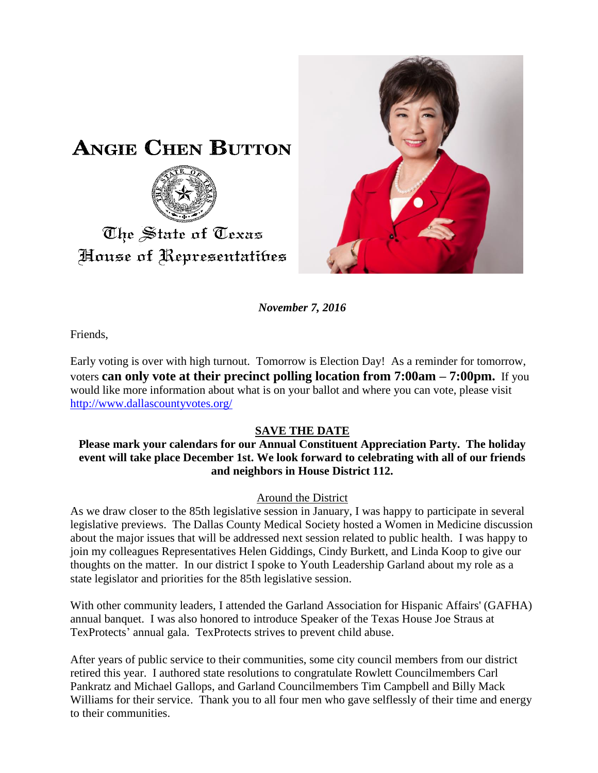



*November 7, 2016*

Friends,

Early voting is over with high turnout. Tomorrow is Election Day! As a reminder for tomorrow, voters **can only vote at their precinct polling location from 7:00am – 7:00pm.** If you would like more information about what is on your ballot and where you can vote, please visit <http://www.dallascountyvotes.org/>

# **SAVE THE DATE**

### **Please mark your calendars for our Annual Constituent Appreciation Party. The holiday event will take place December 1st. We look forward to celebrating with all of our friends and neighbors in House District 112.**

#### Around the District

As we draw closer to the 85th legislative session in January, I was happy to participate in several legislative previews. The Dallas County Medical Society hosted a Women in Medicine discussion about the major issues that will be addressed next session related to public health. I was happy to join my colleagues Representatives Helen Giddings, Cindy Burkett, and Linda Koop to give our thoughts on the matter. In our district I spoke to Youth Leadership Garland about my role as a state legislator and priorities for the 85th legislative session.

With other community leaders, I attended the Garland Association for Hispanic Affairs' (GAFHA) annual banquet. I was also honored to introduce Speaker of the Texas House Joe Straus at TexProtects' annual gala. TexProtects strives to prevent child abuse.

After years of public service to their communities, some city council members from our district retired this year. I authored state resolutions to congratulate Rowlett Councilmembers Carl Pankratz and Michael Gallops, and Garland Councilmembers Tim Campbell and Billy Mack Williams for their service. Thank you to all four men who gave selflessly of their time and energy to their communities.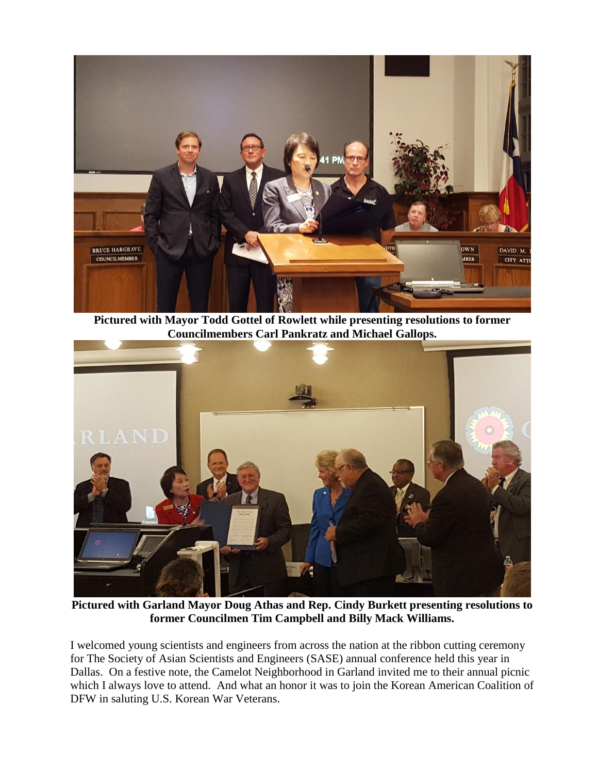

**Pictured with Mayor Todd Gottel of Rowlett while presenting resolutions to former Councilmembers Carl Pankratz and Michael Gallops.**



**Pictured with Garland Mayor Doug Athas and Rep. Cindy Burkett presenting resolutions to former Councilmen Tim Campbell and Billy Mack Williams.**

I welcomed young scientists and engineers from across the nation at the ribbon cutting ceremony for The Society of Asian Scientists and Engineers (SASE) annual conference held this year in Dallas. On a festive note, the Camelot Neighborhood in Garland invited me to their annual picnic which I always love to attend. And what an honor it was to join the Korean American Coalition of DFW in saluting U.S. Korean War Veterans.